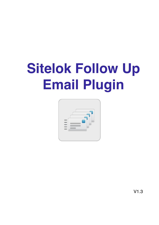# **Sitelok Follow Up Email Plugin**



V1.3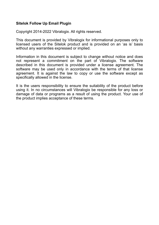#### **Sitelok Follow Up Email Plugin**

Copyright 2014-2022 Vibralogix. All rights reserved.

This document is provided by Vibralogix for informational purposes only to licensed users of the Sitelok product and is provided on an 'as is' basis without any warranties expressed or implied.

Information in this document is subject to change without notice and does not represent a commitment on the part of Vibralogix. The software described in this document is provided under a license agreement. The software may be used only in accordance with the terms of that license agreement. It is against the law to copy or use the software except as specifically allowed in the license.

It is the users responsibility to ensure the suitability of the product before using it. In no circumstances will Vibralogix be responsible for any loss or damage of data or programs as a result of using the product. Your use of the product implies acceptance of these terms.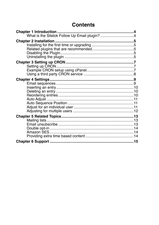## **Contents**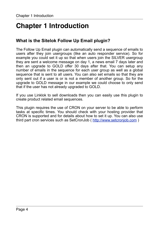# <span id="page-3-0"></span>**Chapter 1 Introduction**

## <span id="page-3-1"></span>**What is the Sitelok Follow Up Email plugin?**

The Follow Up Email plugin can automatically send a sequence of emails to users after they join usergroups (like an auto responder service). So for example you could set it up so that when users join the SILVER usergroup they are sent a welcome message on day 1, a news email 7 days later and then an upgrade to GOLD offer 30 days after that. You can setup any number of emails in the sequence for each user group as well as a global sequence that is sent to all users. You can also set emails so that they are only sent out if a user is or is not a member of another group. So for the upgrade to GOLD message in our example we could choose to only send that if the user has not already upgraded to GOLD.

If you use Linklok to sell downloads then you can easily use this plugin to create product related email sequences.

This plugin requires the use of CRON on your server to be able to perform tasks at specific times. You should check with your hosting provider that CRON is supported and for details about how to set it up. You can also use third part cron services such as SetCronJob (<http://www.setcronjob.com> )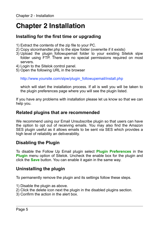# <span id="page-4-0"></span>**Chapter 2 Installation**

## <span id="page-4-1"></span>**Installing for the first time or upgrading**

- 1) Extract the contents of the zip file to your PC.
- 2) Copy slcronhandler.php to the slpw folder (overwrite if it exists)
- 3) Upload the plugin followupemail folder to your existing Sitelok slpw folder using FTP. There are no special permissions required on most servers.
- 4) Login to the Sitelok control panel.
- 5) Open the following URL in the browser

http://www.yoursite.com/slpw/plugin\_followupemail/install.php

which will start the installation process. If all is well you will be taken to the plugin preferences page where you will see the plugin listed.

If you have any problems with installation please let us know so that we can help you.

## <span id="page-4-2"></span>**Related plugins that are recommended**

We recommend using our Email Unsubscribe plugin so that users can have the option to opt out of receiving emails. You may also find the Amazon SES plugin useful as it allows emails to be sent via SES which provides a high level of reliability an deliverability.

## <span id="page-4-3"></span>**Disabling the Plugin**

To disable the Follow Up Email plugin select **Plugin Preferences** in the **Plugin** menu option of Sitelok. Uncheck the enable box for the plugin and click the **Save** button. You can enable it again in the same way.

### <span id="page-4-4"></span>**Uninstalling the plugin**

To permanently remove the plugin and its settings follow these steps.

- 1) Disable the plugin as above.
- 2) Click the delete icon next the plugin in the disabled plugins section.
- 3) Confirm the action in the alert box.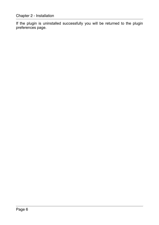If the plugin is uninstalled successfully you will be returned to the plugin preferences page.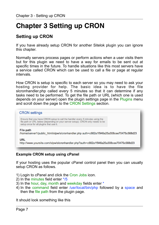# <span id="page-6-0"></span>**Chapter 3 Setting up CRON**

## <span id="page-6-1"></span>**Setting up CRON**

If you have already setup CRON for another Sitelok plugin you can ignore this chapter.

Normally servers process pages or perform actions when a user visits them but for this plugin we need to have a way for emails to be sent out at specific times in the future. To handle situations like this most servers have a service called CRON which can be used to call a file or page at regular intervals.

How CRON is setup is specific to each server so you may need to ask your hosting provider for help. The basic idea is to have the file slcronhandler.php called every 5 minutes so that it can determine if any tasks need to be performed. To get the file path or URL (which one is used depends on your server) open the plugin settings page in the Plugins menu and scroll down the page to the CRON Settings section.

#### **CRON** settings

Ensure that you have CRON setup to call the handler every 5 minutes using the file path or URL below (depending on your server setup). CRON only needs to be setup once for all plugins that use it.

#### **File path**

/home/server1/public\_html/slpw/slcronhandler.php auth=c662a1f946a25a308cee70475c568d23

#### URL

http://www.yoursite.com/slpw/slcronhandler.php?auth=c662a1f946a25a308cee70475c568d23

#### <span id="page-6-2"></span>**Example CRON setup using cPanel**

If your hosting uses the popular cPanel control panel then you can usually setup CRON as follows.

- 1) Login to cPanel and click the Cron Jobs icon.
- 2) In the minutes field enter \*/5
- 3) In the hour, day, month and weekday fields enter \*
- 4) In the command field enter /usr/local/bin/php followed by a space and then the file path from the plugin page.

It should look something like this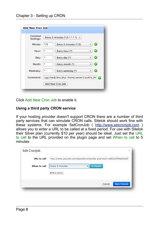| Common<br>Settings: | Every 5 minutes $(*/5 ***)$ $*$              |         |
|---------------------|----------------------------------------------|---------|
| Minute:             | Every 5 minutes (*/5)<br>*/5                 | Ø<br>÷  |
| Hour:               | Every hour (*)<br>$\star$                    | Ø       |
| Day:                | Every day (*)<br>$\star$                     | ø<br>÷  |
| Month:              | Every month (*)<br>*                         | c<br>÷. |
| Weekday:            | Every weekday (*)<br>$\star$                 | ÷       |
| Command:            | /usr/local/bin/php /home/server1/public_ht ? |         |

Click Add New Cron Job to enable it.

#### <span id="page-7-0"></span>**Using a third party CRON service**

If your hosting provider doesn't support CRON there are a number of third party services that can simulate CRON calls. Sitelok should work fine with these systems. For example SetCronJob ( <http://www.setcronjob.com>) allows you to enter a URL to be called at a fixed period. For use with Sitelok their Silver plan (currently \$10 per year) should be ideal. Just set the URL to call to the URL provided on the plugin page and set When to call to 5 minutes

| Edit CronJob       | $\times$                                                             |
|--------------------|----------------------------------------------------------------------|
| <b>URL</b> to call | http://www.yoursite.com/slpw/slcronhandler.php?auth=c662a1f946a25a30 |
| When to call       | © Details<br>Every 5 minutes<br>$\frac{\triangle}{\mathbf{v}}$       |
|                    | <b>☆ More options</b>                                                |
|                    | Save CronJob<br>Cancel                                               |
|                    |                                                                      |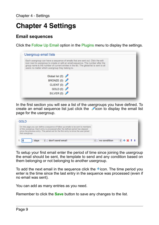# <span id="page-8-0"></span>**Chapter 4 Settings**

## <span id="page-8-1"></span>**Email sequences**

Click the Follow Up Email option in the Plugins menu to display the settings.



In the first section you will see a list of the usergroups you have defined. To create an email sequence list just click the  $\triangle$ icon to display the email list page for the usergroup.

| <b>GOLD</b>                                                                                                                                                                                                                                                                     |              |           |
|---------------------------------------------------------------------------------------------------------------------------------------------------------------------------------------------------------------------------------------------------------------------------------|--------------|-----------|
| On this page you can define a sequence of follow up emails to be sent to members<br>of this usergroup. Each entry is processed after the defined period has elapsed<br>since the previous entry. The period set for the first entry is since the user joined<br>that usergroup. |              |           |
| don't send email<br>days<br>÷                                                                                                                                                                                                                                                   | no condition | $+ 8 + 1$ |

To setup your first email enter the period of time since joining the usergroup the email should be sent, the template to send and any condition based on them belonging or not belonging to another usergroup.

To add the next email in the sequence click the  $\pm$ icon. The time period you enter is the time since the last entry in the sequence was processed (even if no email was sent).

You can add as many entries as you need.

Remember to click the **Save** button to save any changes to the list.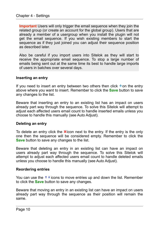**Important** Users will only trigger the email sequence when they join the related group (or create an account for the global group). Users that are already a member of a usergroup when you install the plugin will not get the email sequence. If you wish existing members to start the sequence as if they just joined you can adjust their sequence position as described later.

Also be careful if you import users into Sitelok as they will start to receive the appropriate email sequence. To stop a large number of emails being sent out at the same time its best to handle large imports of users in batches over several days.

#### <span id="page-9-0"></span>**Inserting an entry**

If you need to insert an entry between two others then click  $\pm$  on the entry above where you want to insert. Remember to click the **Save** button to save any changes to the list.

Beware that inserting an entry to an existing list has an impact on users already part way through the sequence. To solve this Sitelok will attempt to adjust each affected users email count to handle inserted emails unless you choose to handle this manually (see Auto Adjust).

#### <span id="page-9-1"></span>**Deleting an entry**

To delete an entry click the  $\triangle$  icon next to the entry. If the entry is the only one then the sequence will be considered empty. Remember to click the **Save** button to save any changes to the list.

Beware that deleting an entry in an existing list can have an impact on users already part way through the sequence. To solve this Sitelok will attempt to adjust each affected users email count to handle deleted emails unless you choose to handle this manually (see Auto Adjust).

#### <span id="page-9-2"></span>**Reordering entries**

You can use the  $t \downarrow$  icons to move entries up and down the list. Remember to click the **Save** button to save any changes.

Beware that moving an entry in an existing list can have an impact on users already part way through the sequence as their position will remain the same.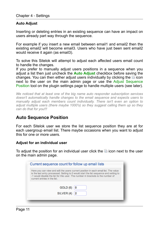#### <span id="page-10-0"></span>**Auto Adjust**

Inserting or deleting entries in an existing sequence can have an impact on users already part way through the sequence.

For example if you insert a new email between email1 and email2 then the existing email2 will become email3. Users who have just been sent email2 would receive it again (as email3).

To solve this Sitelok will attempt to adjust each affected users email count to handle the changes.

If you prefer to manually adjust users positions in a sequence when you adjust a list then just uncheck the **Auto Adjust** checkbox before saving the changes. You can then either adjust users individually by clicking the  $\boxplus$  icon next to the user on the main admin page or use the Adjust Sequence Position tool on the plugin settings page to handle multiple users (see later).

*We noticed that at least one of the big name auto responder subscription services doesn't automatically handle changes to the email sequence and expects users to manually adjust each members count individually. There isn't even an option to adjust multiple users (there maybe 1000's) so they suggest calling them up so they can do that for you!!!* 

## <span id="page-10-1"></span>**Auto Sequence Position**

For each Sitelok user we store the list sequence position they are at for each usergroup email list. There maybe occasions when you want to adjust this for one or more users.

#### <span id="page-10-2"></span>**Adjust for an individual user**

To adjust the position for an individual user click the icon next to the user on the main admin page.

|                              | Here you can view and edit the users current position in each email list. The value<br>is the last entry processed. Setting to 0 would start the list sequence and setting to |
|------------------------------|-------------------------------------------------------------------------------------------------------------------------------------------------------------------------------|
| current entries in the list. | -1 would disable the list for this user. The number in brackets is the number of                                                                                              |
|                              | GOLD (6)                                                                                                                                                                      |
|                              | SILVER (4)                                                                                                                                                                    |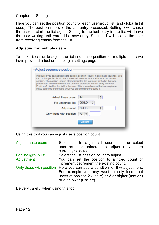#### Chapter 4 - Settings

Here you can set the position count for each usergroup list (and global list if used). The position refers to the last entry processed. Setting 0 will cause the user to start the list again. Setting to the last entry in the list will leave the user waiting until you add a new entry. Setting -1 will disable the user from receiving emails from the list.

#### <span id="page-11-0"></span>**Adjusting for multiple users**

To make it easier to adjust the list sequence position for multiple users we have provided a tool on the plugin settings page.

| can do this per list for all users, selected users or users with a certain current<br>position. The position (count) stored indicates the last entry in the list that was<br>processed. Position 0 means the user will start from the first entry in the list.<br>Position -1 disables the list for the user. This is an advanced feature so please<br>make sure you understand what you are doing before using it. | If required you can adjust users current position (count) in an email sequence. You |
|---------------------------------------------------------------------------------------------------------------------------------------------------------------------------------------------------------------------------------------------------------------------------------------------------------------------------------------------------------------------------------------------------------------------|-------------------------------------------------------------------------------------|
| Adjust these users<br>For usergroup list<br>Adjustment<br>Only those with position                                                                                                                                                                                                                                                                                                                                  | All<br><b>GOLD</b><br><b>Set to</b><br>All $\div$<br>Adjust                         |

Using this tool you can adjust users position count.

| <b>Adjust these users</b> | Select all to adjust all users for the select          |
|---------------------------|--------------------------------------------------------|
|                           | usergroup or selected to adjust only users             |
|                           | currently selected.                                    |
| For usergroup list        | Select the list position count to adjust               |
| Adjustment                | You can set the position to a fixed count or           |
|                           | increment/decrement the existing count.                |
| Only those with position  | Here you can add a condtion for thw adjustment.        |
|                           | For example you may want to only increment             |
|                           | users at position 2 (use =) or 3 or higher (use $>=$ ) |
|                           | or 5 or lower (use $\le$ =).                           |

Be very careful when using this tool.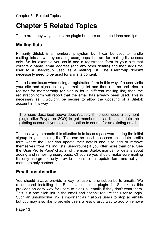# <span id="page-12-0"></span>**Chapter 5 Related Topics**

There are many ways to use the plugin but here are some ideas and tips.

## <span id="page-12-1"></span>**Mailing lists**

Primarily Sitelok is a membership system but it can be used to handle mailing lists as well by creating usergroups that are for mailing list access only. So for example you could add a registration form to your site that collects a name, email address (and any other details) and then adds the user to a usergroup used as a mailing list. The usergroup doesn't necessarily need to be used for any site content.

There is one issue when using a registration form in this way. If a user visits your site and signs up to your mailing list and then returns and tries to register for membership (or signup for a different mailing list) then the registration form will report that the email has already been used. This is necessary as it wouldn't be secure to allow the updating of a Sitelok account in this way.

The issue described above doesn't apply if the user uses a payment plugin (like Paypal or 2CO) to get membership as it can update the existing account if you select the option to search for an existing email.

The best way to handle this situation is to issue a password during the initial signup to your mailing list. This can be used to access an update profile form where the user can update their details and also add or remove themselves from mailing lists (usergroups) if you offer more than one. See the 'User Profile Page' chapter of the main Sitelok manual for details about adding and removing usergroups. Of course you should make sure mailing list only usergroups only provide access to this update form and not your members only content.

## <span id="page-12-2"></span>**Email unsubscribe**

You should always provide a way for users to unsubscribe to emails. We recommend installing the Email Unsubscribe plugin for Sitelok as this provides an easy way for users to block all emails if they don't want them. This is a one click link in the email and doesn't require the user to login. Such an unsubscribe link is important as it allows users to stop all emails but you may also like to provide users a less drastic way to add or remove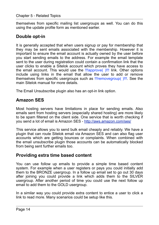themselves from specific mailing list usergroups as well. You can do this using the update profile form as mentioned earlier.

## <span id="page-13-0"></span>**Double opt-in**

It is generally accepted that when users signup or pay for membership that they may be sent emails associated with the membership. However it is important to ensure the email account is actually owned by the user before you start sending emails to the address. For example the email template sent to the user during registration could contain a confirmation link that the user clicks to enable a Sitelok account which proves they have access to the email account. This would use the **!!!approve(** )!!! link. Other options include using links in the email that allow the user to add or remove themselves from specific usergroups such as !!!removegroup( )!!!. See the main Sitelok manual for more details.

The Email Unsubscribe plugin also has an opt-in link option.

## <span id="page-13-1"></span>**Amazon SES**

Most hosting servers have limitations in place for sending emails. Also emails sent from hosting servers (especially shared hosting) are more likely to be spam filtered on the client side. One service that is worth checking if you send a lot of email is Amazon SES -<http://aws.amazon.com/ses/>

This service allows you to send bulk email cheaply and reliably. We have a plugin that can route Sitelok email via Amazon SES and can also flag user accounts which are getting bounces or complaints. When combined with the email unsubscribe plugin those accounts can be automatically blocked from being sent further emails too.

### <span id="page-13-2"></span>**Providing extra time based content**

You can use follow up emails to provide a simple time based content system. For example when a user registers or pays you could initially add them to the BRONZE usergroup. In a follow up email set to go out 30 days after joining you could provide a link which adds them to the SILVER usergroup. After another period of time you could use the next follow up email to add them to the GOLD usergroup.

In a similar way you could provide extra content to entice a user to click a link to read more. Many scenarios could be setup like this.